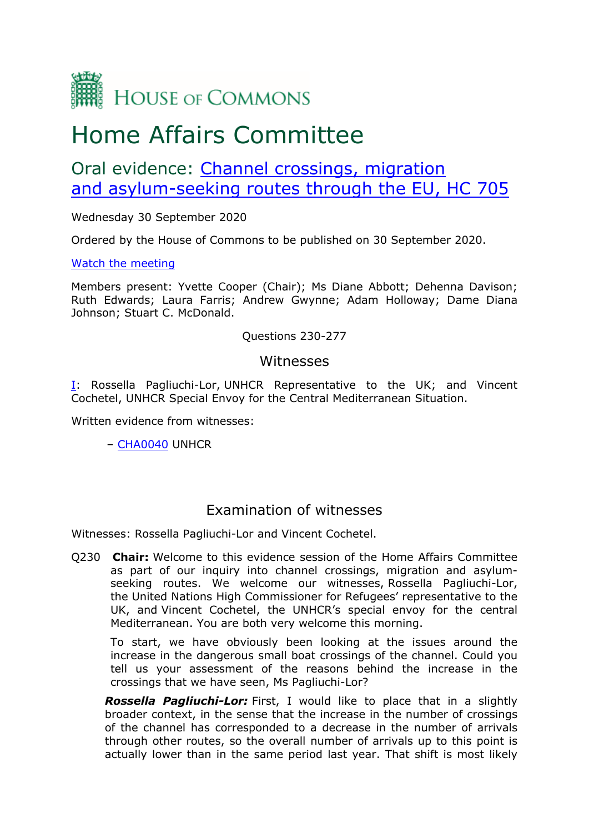

# Home Affairs Committee

## Oral evidence: [Channel](https://committees.parliament.uk/work/496/channel-crossings-migration-and-asylumseeking-routes-through-the-eu/) [crossings,](https://committees.parliament.uk/work/496/channel-crossings-migration-and-asylumseeking-routes-through-the-eu/) [migration](https://committees.parliament.uk/work/496/channel-crossings-migration-and-asylumseeking-routes-through-the-eu/) [and](https://committees.parliament.uk/work/496/channel-crossings-migration-and-asylumseeking-routes-through-the-eu/) [asylum-seeking](https://committees.parliament.uk/work/496/channel-crossings-migration-and-asylumseeking-routes-through-the-eu/) [routes](https://committees.parliament.uk/work/496/channel-crossings-migration-and-asylumseeking-routes-through-the-eu/) [through](https://committees.parliament.uk/work/496/channel-crossings-migration-and-asylumseeking-routes-through-the-eu/) [the](https://committees.parliament.uk/work/496/channel-crossings-migration-and-asylumseeking-routes-through-the-eu/) [EU,](https://committees.parliament.uk/work/496/channel-crossings-migration-and-asylumseeking-routes-through-the-eu/) [HC](https://committees.parliament.uk/work/496/channel-crossings-migration-and-asylumseeking-routes-through-the-eu/) [705](https://committees.parliament.uk/work/496/channel-crossings-migration-and-asylumseeking-routes-through-the-eu/)

Wednesday 30 September 2020

Ordered by the House of Commons to be published on 30 September 2020.

## [Watch](https://parliamentlive.tv/Event/Index/a949d0f6-292f-4b79-902a-2d2f15f2891c) [the](https://parliamentlive.tv/Event/Index/a949d0f6-292f-4b79-902a-2d2f15f2891c) [meeting](https://parliamentlive.tv/Event/Index/a949d0f6-292f-4b79-902a-2d2f15f2891c)

Members present: Yvette Cooper (Chair); Ms Diane Abbott; Dehenna Davison; Ruth Edwards; Laura Farris; Andrew Gwynne; Adam Holloway; Dame Diana Johnson; Stuart C. McDonald.

## Questions 230-277

## Witnesses

[I:](https://committees.parliament.uk/oralevidence/948/html/#Panel1) Rossella Pagliuchi-Lor, UNHCR Representative to the UK; and Vincent Cochetel, UNHCR Special Envoy for the Central Mediterranean Situation.

Written evidence from witnesses:

– [CHA0040](https://committees.parliament.uk/writtenevidence/12123/pdf/) UNHCR

## Examination of witnesses

Witnesses: Rossella Pagliuchi-Lor and Vincent Cochetel.

Q230 **Chair:** Welcome to this evidence session of the Home Affairs Committee as part of our inquiry into channel crossings, migration and asylumseeking routes. We welcome our witnesses, Rossella Pagliuchi-Lor, the United Nations High Commissioner for Refugees' representative to the UK, and Vincent Cochetel, the UNHCR's special envoy for the central Mediterranean. You are both very welcome this morning.

To start, we have obviously been looking at the issues around the increase in the dangerous small boat crossings of the channel. Could you tell us your assessment of the reasons behind the increase in the crossings that we have seen, Ms Pagliuchi-Lor?

*Rossella Pagliuchi-Lor:* First, I would like to place that in a slightly broader context, in the sense that the increase in the number of crossings of the channel has corresponded to a decrease in the number of arrivals through other routes, so the overall number of arrivals up to this point is actually lower than in the same period last year. That shift is most likely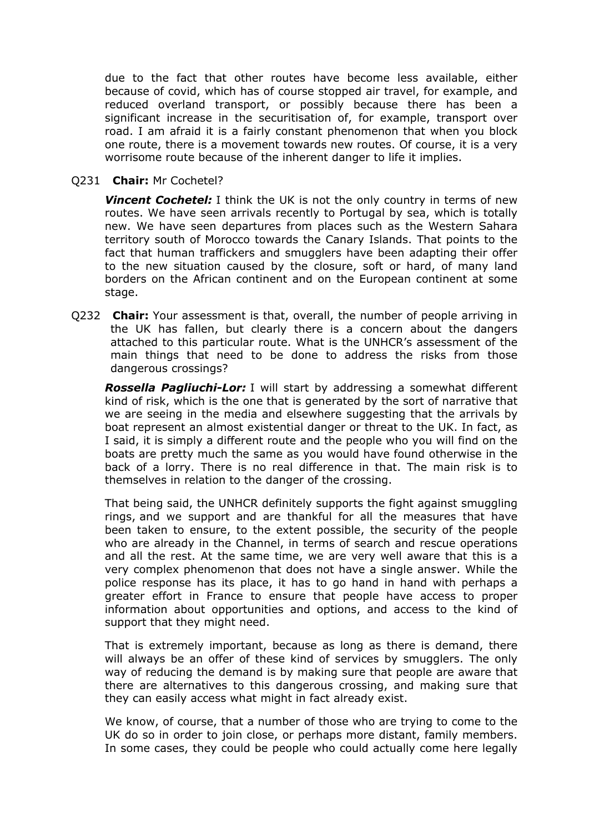due to the fact that other routes have become less available, either because of covid, which has of course stopped air travel, for example, and reduced overland transport, or possibly because there has been a significant increase in the securitisation of, for example, transport over road. I am afraid it is a fairly constant phenomenon that when you block one route, there is a movement towards new routes. Of course, it is a very worrisome route because of the inherent danger to life it implies.

Q231 **Chair:** Mr Cochetel?

*Vincent Cochetel:* I think the UK is not the only country in terms of new routes. We have seen arrivals recently to Portugal by sea, which is totally new. We have seen departures from places such as the Western Sahara territory south of Morocco towards the Canary Islands. That points to the fact that human traffickers and smugglers have been adapting their offer to the new situation caused by the closure, soft or hard, of many land borders on the African continent and on the European continent at some stage.

Q232 **Chair:** Your assessment is that, overall, the number of people arriving in the UK has fallen, but clearly there is a concern about the dangers attached to this particular route. What is the UNHCR's assessment of the main things that need to be done to address the risks from those dangerous crossings?

*Rossella Pagliuchi-Lor:* I will start by addressing a somewhat different kind of risk, which is the one that is generated by the sort of narrative that we are seeing in the media and elsewhere suggesting that the arrivals by boat represent an almost existential danger or threat to the UK. In fact, as I said, it is simply a different route and the people who you will find on the boats are pretty much the same as you would have found otherwise in the back of a lorry. There is no real difference in that. The main risk is to themselves in relation to the danger of the crossing.

That being said, the UNHCR definitely supports the fight against smuggling rings, and we support and are thankful for all the measures that have been taken to ensure, to the extent possible, the security of the people who are already in the Channel, in terms of search and rescue operations and all the rest. At the same time, we are very well aware that this is a very complex phenomenon that does not have a single answer. While the police response has its place, it has to go hand in hand with perhaps a greater effort in France to ensure that people have access to proper information about opportunities and options, and access to the kind of support that they might need.

That is extremely important, because as long as there is demand, there will always be an offer of these kind of services by smugglers. The only way of reducing the demand is by making sure that people are aware that there are alternatives to this dangerous crossing, and making sure that they can easily access what might in fact already exist.

We know, of course, that a number of those who are trying to come to the UK do so in order to join close, or perhaps more distant, family members. In some cases, they could be people who could actually come here legally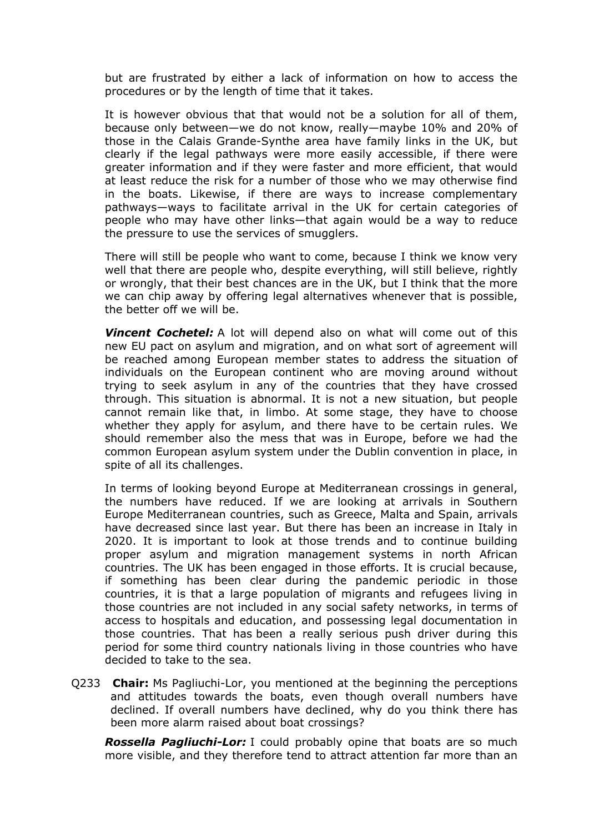but are frustrated by either a lack of information on how to access the procedures or by the length of time that it takes.

It is however obvious that that would not be a solution for all of them, because only between—we do not know, really—maybe 10% and 20% of those in the Calais Grande-Synthe area have family links in the UK, but clearly if the legal pathways were more easily accessible, if there were greater information and if they were faster and more efficient, that would at least reduce the risk for a number of those who we may otherwise find in the boats. Likewise, if there are ways to increase complementary pathways—ways to facilitate arrival in the UK for certain categories of people who may have other links—that again would be a way to reduce the pressure to use the services of smugglers.

There will still be people who want to come, because I think we know very well that there are people who, despite everything, will still believe, rightly or wrongly, that their best chances are in the UK, but I think that the more we can chip away by offering legal alternatives whenever that is possible, the better off we will be.

*Vincent Cochetel:* A lot will depend also on what will come out of this new EU pact on asylum and migration, and on what sort of agreement will be reached among European member states to address the situation of individuals on the European continent who are moving around without trying to seek asylum in any of the countries that they have crossed through. This situation is abnormal. It is not a new situation, but people cannot remain like that, in limbo. At some stage, they have to choose whether they apply for asylum, and there have to be certain rules. We should remember also the mess that was in Europe, before we had the common European asylum system under the Dublin convention in place, in spite of all its challenges.

In terms of looking beyond Europe at Mediterranean crossings in general, the numbers have reduced. If we are looking at arrivals in Southern Europe Mediterranean countries, such as Greece, Malta and Spain, arrivals have decreased since last year. But there has been an increase in Italy in 2020. It is important to look at those trends and to continue building proper asylum and migration management systems in north African countries. The UK has been engaged in those efforts. It is crucial because, if something has been clear during the pandemic periodic in those countries, it is that a large population of migrants and refugees living in those countries are not included in any social safety networks, in terms of access to hospitals and education, and possessing legal documentation in those countries. That has been a really serious push driver during this period for some third country nationals living in those countries who have decided to take to the sea.

Q233 **Chair:** Ms Pagliuchi-Lor, you mentioned at the beginning the perceptions and attitudes towards the boats, even though overall numbers have declined. If overall numbers have declined, why do you think there has been more alarm raised about boat crossings?

*Rossella Pagliuchi-Lor:* I could probably opine that boats are so much more visible, and they therefore tend to attract attention far more than an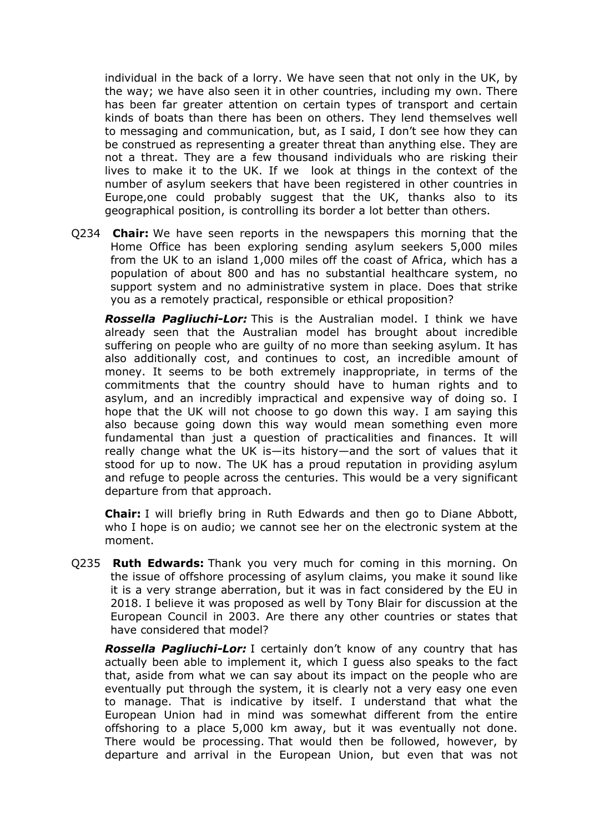individual in the back of a lorry. We have seen that not only in the UK, by the way; we have also seen it in other countries, including my own. There has been far greater attention on certain types of transport and certain kinds of boats than there has been on others. They lend themselves well to messaging and communication, but, as I said, I don't see how they can be construed as representing a greater threat than anything else. They are not a threat. They are a few thousand individuals who are risking their lives to make it to the UK. If we look at things in the context of the number of asylum seekers that have been registered in other countries in Europe,one could probably suggest that the UK, thanks also to its geographical position, is controlling its border a lot better than others.

Q234 **Chair:** We have seen reports in the newspapers this morning that the Home Office has been exploring sending asylum seekers 5,000 miles from the UK to an island 1,000 miles off the coast of Africa, which has a population of about 800 and has no substantial healthcare system, no support system and no administrative system in place. Does that strike you as a remotely practical, responsible or ethical proposition?

*Rossella Pagliuchi-Lor:* This is the Australian model. I think we have already seen that the Australian model has brought about incredible suffering on people who are guilty of no more than seeking asylum. It has also additionally cost, and continues to cost, an incredible amount of money. It seems to be both extremely inappropriate, in terms of the commitments that the country should have to human rights and to asylum, and an incredibly impractical and expensive way of doing so. I hope that the UK will not choose to go down this way. I am saying this also because going down this way would mean something even more fundamental than just a question of practicalities and finances. It will really change what the UK is—its history—and the sort of values that it stood for up to now. The UK has a proud reputation in providing asylum and refuge to people across the centuries. This would be a very significant departure from that approach.

**Chair:** I will briefly bring in Ruth Edwards and then go to Diane Abbott, who I hope is on audio; we cannot see her on the electronic system at the moment.

Q235 **Ruth Edwards:** Thank you very much for coming in this morning. On the issue of offshore processing of asylum claims, you make it sound like it is a very strange aberration, but it was in fact considered by the EU in 2018. I believe it was proposed as well by Tony Blair for discussion at the European Council in 2003. Are there any other countries or states that have considered that model?

*Rossella Pagliuchi-Lor:* I certainly don't know of any country that has actually been able to implement it, which I guess also speaks to the fact that, aside from what we can say about its impact on the people who are eventually put through the system, it is clearly not a very easy one even to manage. That is indicative by itself. I understand that what the European Union had in mind was somewhat different from the entire offshoring to a place 5,000 km away, but it was eventually not done. There would be processing. That would then be followed, however, by departure and arrival in the European Union, but even that was not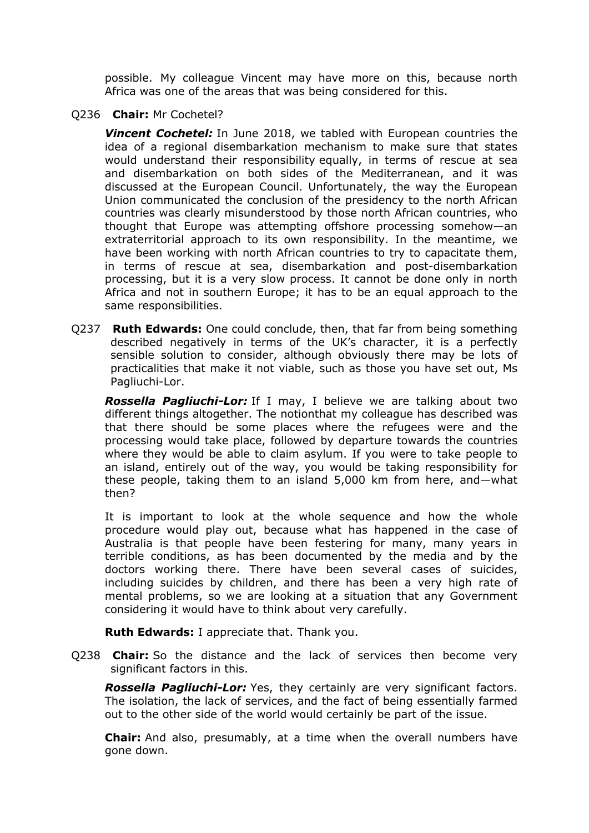possible. My colleague Vincent may have more on this, because north Africa was one of the areas that was being considered for this.

### Q236 **Chair:** Mr Cochetel?

*Vincent Cochetel:* In June 2018, we tabled with European countries the idea of a regional disembarkation mechanism to make sure that states would understand their responsibility equally, in terms of rescue at sea and disembarkation on both sides of the Mediterranean, and it was discussed at the European Council. Unfortunately, the way the European Union communicated the conclusion of the presidency to the north African countries was clearly misunderstood by those north African countries, who thought that Europe was attempting offshore processing somehow—an extraterritorial approach to its own responsibility. In the meantime, we have been working with north African countries to try to capacitate them, in terms of rescue at sea, disembarkation and post-disembarkation processing, but it is a very slow process. It cannot be done only in north Africa and not in southern Europe; it has to be an equal approach to the same responsibilities.

Q237 **Ruth Edwards:** One could conclude, then, that far from being something described negatively in terms of the UK's character, it is a perfectly sensible solution to consider, although obviously there may be lots of practicalities that make it not viable, such as those you have set out, Ms Pagliuchi-Lor.

*Rossella Pagliuchi-Lor:* If I may, I believe we are talking about two different things altogether. The notionthat my colleague has described was that there should be some places where the refugees were and the processing would take place, followed by departure towards the countries where they would be able to claim asylum. If you were to take people to an island, entirely out of the way, you would be taking responsibility for these people, taking them to an island 5,000 km from here, and—what then?

It is important to look at the whole sequence and how the whole procedure would play out, because what has happened in the case of Australia is that people have been festering for many, many years in terrible conditions, as has been documented by the media and by the doctors working there. There have been several cases of suicides, including suicides by children, and there has been a very high rate of mental problems, so we are looking at a situation that any Government considering it would have to think about very carefully.

#### **Ruth Edwards:** I appreciate that. Thank you.

Q238 **Chair:** So the distance and the lack of services then become very significant factors in this.

*Rossella Pagliuchi-Lor:* Yes, they certainly are very significant factors. The isolation, the lack of services, and the fact of being essentially farmed out to the other side of the world would certainly be part of the issue.

**Chair:** And also, presumably, at a time when the overall numbers have gone down.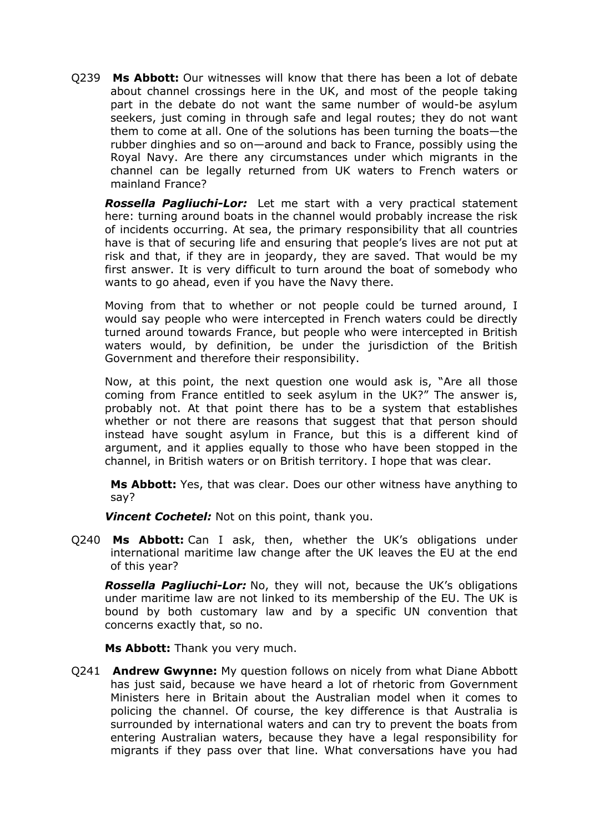Q239 **Ms Abbott:** Our witnesses will know that there has been a lot of debate about channel crossings here in the UK, and most of the people taking part in the debate do not want the same number of would-be asylum seekers, just coming in through safe and legal routes; they do not want them to come at all. One of the solutions has been turning the boats—the rubber dinghies and so on—around and back to France, possibly using the Royal Navy. Are there any circumstances under which migrants in the channel can be legally returned from UK waters to French waters or mainland France?

*Rossella Pagliuchi-Lor:* Let me start with a very practical statement here: turning around boats in the channel would probably increase the risk of incidents occurring. At sea, the primary responsibility that all countries have is that of securing life and ensuring that people's lives are not put at risk and that, if they are in jeopardy, they are saved. That would be my first answer. It is very difficult to turn around the boat of somebody who wants to go ahead, even if you have the Navy there.

Moving from that to whether or not people could be turned around, I would say people who were intercepted in French waters could be directly turned around towards France, but people who were intercepted in British waters would, by definition, be under the jurisdiction of the British Government and therefore their responsibility.

Now, at this point, the next question one would ask is, "Are all those coming from France entitled to seek asylum in the UK?" The answer is, probably not. At that point there has to be a system that establishes whether or not there are reasons that suggest that that person should instead have sought asylum in France, but this is a different kind of argument, and it applies equally to those who have been stopped in the channel, in British waters or on British territory. I hope that was clear.

**Ms Abbott:** Yes, that was clear. Does our other witness have anything to say?

*Vincent Cochetel:* Not on this point, thank you.

Q240 **Ms Abbott:** Can I ask, then, whether the UK's obligations under international maritime law change after the UK leaves the EU at the end of this year?

*Rossella Pagliuchi-Lor:* No, they will not, because the UK's obligations under maritime law are not linked to its membership of the EU. The UK is bound by both customary law and by a specific UN convention that concerns exactly that, so no.

**Ms Abbott:** Thank you very much.

Q241 **Andrew Gwynne:** My question follows on nicely from what Diane Abbott has just said, because we have heard a lot of rhetoric from Government Ministers here in Britain about the Australian model when it comes to policing the channel. Of course, the key difference is that Australia is surrounded by international waters and can try to prevent the boats from entering Australian waters, because they have a legal responsibility for migrants if they pass over that line. What conversations have you had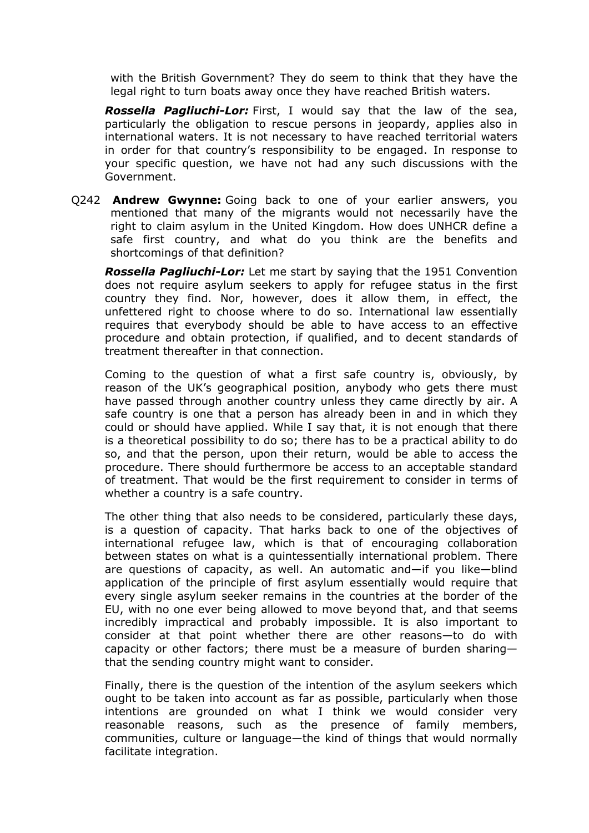with the British Government? They do seem to think that they have the legal right to turn boats away once they have reached British waters.

*Rossella Pagliuchi-Lor:* First, I would say that the law of the sea, particularly the obligation to rescue persons in jeopardy, applies also in international waters. It is not necessary to have reached territorial waters in order for that country's responsibility to be engaged. In response to your specific question, we have not had any such discussions with the Government.

Q242 **Andrew Gwynne:** Going back to one of your earlier answers, you mentioned that many of the migrants would not necessarily have the right to claim asylum in the United Kingdom. How does UNHCR define a safe first country, and what do you think are the benefits and shortcomings of that definition?

*Rossella Pagliuchi-Lor:* Let me start by saying that the 1951 Convention does not require asylum seekers to apply for refugee status in the first country they find. Nor, however, does it allow them, in effect, the unfettered right to choose where to do so. International law essentially requires that everybody should be able to have access to an effective procedure and obtain protection, if qualified, and to decent standards of treatment thereafter in that connection.

Coming to the question of what a first safe country is, obviously, by reason of the UK's geographical position, anybody who gets there must have passed through another country unless they came directly by air. A safe country is one that a person has already been in and in which they could or should have applied. While I say that, it is not enough that there is a theoretical possibility to do so; there has to be a practical ability to do so, and that the person, upon their return, would be able to access the procedure. There should furthermore be access to an acceptable standard of treatment. That would be the first requirement to consider in terms of whether a country is a safe country.

The other thing that also needs to be considered, particularly these days, is a question of capacity. That harks back to one of the objectives of international refugee law, which is that of encouraging collaboration between states on what is a quintessentially international problem. There are questions of capacity, as well. An automatic and—if you like—blind application of the principle of first asylum essentially would require that every single asylum seeker remains in the countries at the border of the EU, with no one ever being allowed to move beyond that, and that seems incredibly impractical and probably impossible. It is also important to consider at that point whether there are other reasons—to do with capacity or other factors; there must be a measure of burden sharing that the sending country might want to consider.

Finally, there is the question of the intention of the asylum seekers which ought to be taken into account as far as possible, particularly when those intentions are grounded on what I think we would consider very reasonable reasons, such as the presence of family members, communities, culture or language—the kind of things that would normally facilitate integration.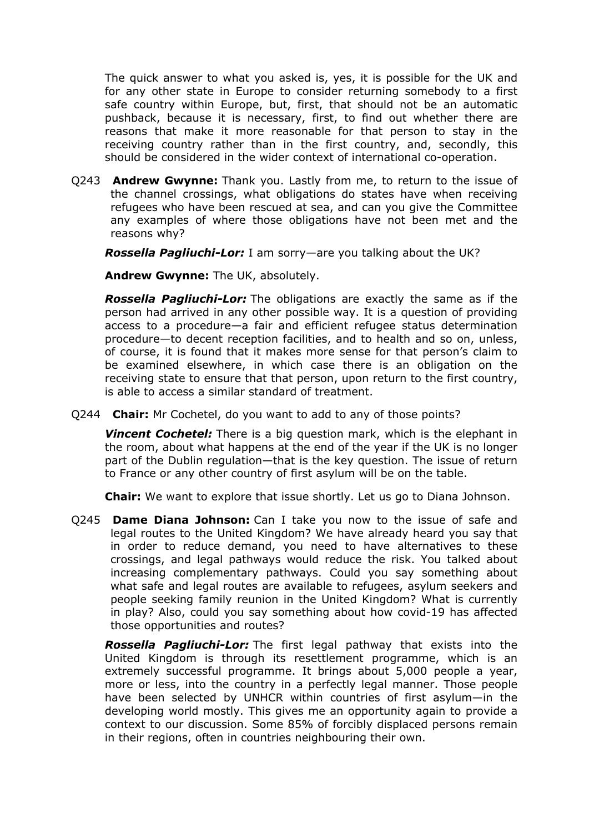The quick answer to what you asked is, yes, it is possible for the UK and for any other state in Europe to consider returning somebody to a first safe country within Europe, but, first, that should not be an automatic pushback, because it is necessary, first, to find out whether there are reasons that make it more reasonable for that person to stay in the receiving country rather than in the first country, and, secondly, this should be considered in the wider context of international co-operation.

Q243 **Andrew Gwynne:** Thank you. Lastly from me, to return to the issue of the channel crossings, what obligations do states have when receiving refugees who have been rescued at sea, and can you give the Committee any examples of where those obligations have not been met and the reasons why?

*Rossella Pagliuchi-Lor:* I am sorry—are you talking about the UK?

**Andrew Gwynne:** The UK, absolutely.

*Rossella Pagliuchi-Lor:* The obligations are exactly the same as if the person had arrived in any other possible way. It is a question of providing access to a procedure—a fair and efficient refugee status determination procedure—to decent reception facilities, and to health and so on, unless, of course, it is found that it makes more sense for that person's claim to be examined elsewhere, in which case there is an obligation on the receiving state to ensure that that person, upon return to the first country, is able to access a similar standard of treatment.

Q244 **Chair:** Mr Cochetel, do you want to add to any of those points?

*Vincent Cochetel:* There is a big question mark, which is the elephant in the room, about what happens at the end of the year if the UK is no longer part of the Dublin regulation—that is the key question. The issue of return to France or any other country of first asylum will be on the table.

**Chair:** We want to explore that issue shortly. Let us go to Diana Johnson.

Q245 **Dame Diana Johnson:** Can I take you now to the issue of safe and legal routes to the United Kingdom? We have already heard you say that in order to reduce demand, you need to have alternatives to these crossings, and legal pathways would reduce the risk. You talked about increasing complementary pathways. Could you say something about what safe and legal routes are available to refugees, asylum seekers and people seeking family reunion in the United Kingdom? What is currently in play? Also, could you say something about how covid-19 has affected those opportunities and routes?

*Rossella Pagliuchi-Lor:* The first legal pathway that exists into the United Kingdom is through its resettlement programme, which is an extremely successful programme. It brings about 5,000 people a year, more or less, into the country in a perfectly legal manner. Those people have been selected by UNHCR within countries of first asylum—in the developing world mostly. This gives me an opportunity again to provide a context to our discussion. Some 85% of forcibly displaced persons remain in their regions, often in countries neighbouring their own.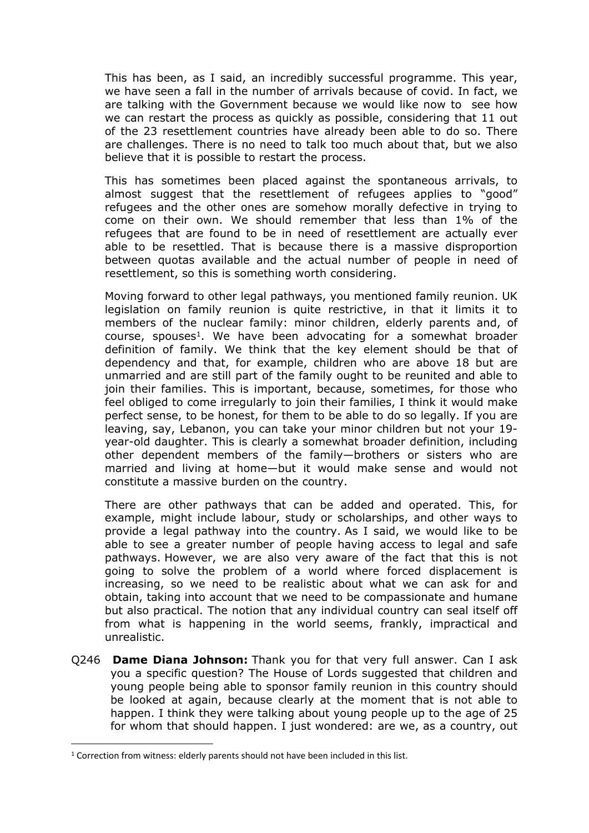This has been, as I said, an incredibly successful programme. This year, we have seen a fall in the number of arrivals because of covid. In fact, we are talking with the Government because we would like now to see how we can restart the process as quickly as possible, considering that 11 out of the 23 resettlement countries have already been able to do so. There are challenges. There is no need to talk too much about that, but we also believe that it is possible to restart the process.

This has sometimes been placed against the spontaneous arrivals, to almost suggest that the resettlement of refugees applies to "good" refugees and the other ones are somehow morally defective in trying to come on their own. We should remember that less than 1% of the refugees that are found to be in need of resettlement are actually ever able to be resettled. That is because there is a massive disproportion between quotas available and the actual number of people in need of resettlement, so this is something worth considering.

Moving forward to other legal pathways, you mentioned family reunion. UK legislation on family reunion is quite restrictive, in that it limits it to members of the nuclear family: minor children, elderly parents and, of course, spouses<sup>1</sup>. We have been advocating for a somewhat broader definition of family. We think that the key element should be that of dependency and that, for example, children who are above 18 but are unmarried and are still part of the family ought to be reunited and able to join their families. This is important, because, sometimes, for those who feel obliged to come irregularly to join their families, I think it would make perfect sense, to be honest, for them to be able to do so legally. If you are leaving, say, Lebanon, you can take your minor children but not your 19 year-old daughter. This is clearly a somewhat broader definition, including other dependent members of the family—brothers or sisters who are married and living at home—but it would make sense and would not constitute a massive burden on the country.

There are other pathways that can be added and operated. This, for example, might include labour, study or scholarships, and other ways to provide a legal pathway into the country. As I said, we would like to be able to see a greater number of people having access to legal and safe pathways. However, we are also very aware of the fact that this is not going to solve the problem of a world where forced displacement is increasing, so we need to be realistic about what we can ask for and obtain, taking into account that we need to be compassionate and humane but also practical. The notion that any individual country can seal itself off from what is happening in the world seems, frankly, impractical and unrealistic.

Q246 **Dame Diana Johnson:** Thank you for that very full answer. Can I ask you a specific question? The House of Lords suggested that children and young people being able to sponsor family reunion in this country should be looked at again, because clearly at the moment that is not able to happen. I think they were talking about young people up to the age of 25 for whom that should happen. I just wondered: are we, as a country, out

<sup>&</sup>lt;sup>1</sup> Correction from witness: elderly parents should not have been included in this list.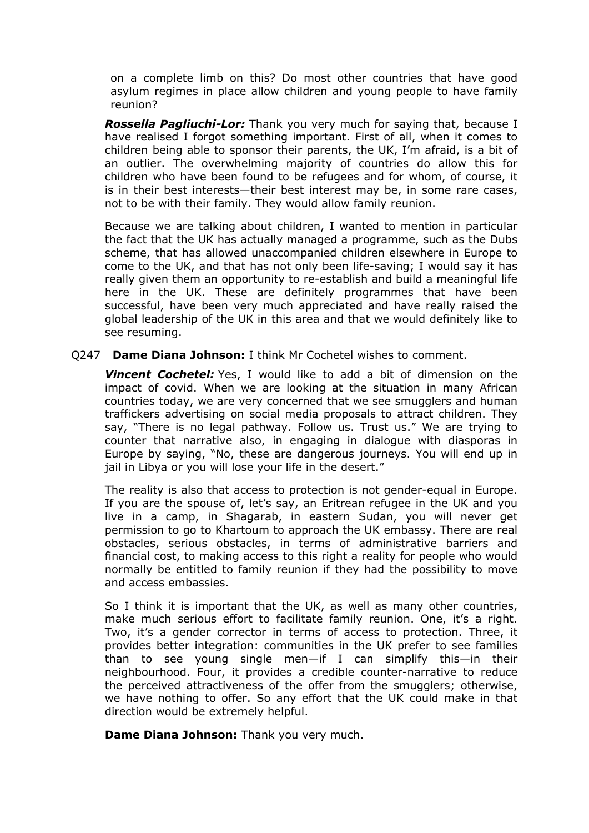on a complete limb on this? Do most other countries that have good asylum regimes in place allow children and young people to have family reunion?

*Rossella Pagliuchi-Lor:* Thank you very much for saying that, because I have realised I forgot something important. First of all, when it comes to children being able to sponsor their parents, the UK, I'm afraid, is a bit of an outlier. The overwhelming majority of countries do allow this for children who have been found to be refugees and for whom, of course, it is in their best interests—their best interest may be, in some rare cases, not to be with their family. They would allow family reunion.

Because we are talking about children, I wanted to mention in particular the fact that the UK has actually managed a programme, such as the Dubs scheme, that has allowed unaccompanied children elsewhere in Europe to come to the UK, and that has not only been life-saving; I would say it has really given them an opportunity to re-establish and build a meaningful life here in the UK. These are definitely programmes that have been successful, have been very much appreciated and have really raised the global leadership of the UK in this area and that we would definitely like to see resuming.

## Q247 **Dame Diana Johnson:** I think Mr Cochetel wishes to comment.

*Vincent Cochetel:* Yes, I would like to add a bit of dimension on the impact of covid. When we are looking at the situation in many African countries today, we are very concerned that we see smugglers and human traffickers advertising on social media proposals to attract children. They say, "There is no legal pathway. Follow us. Trust us." We are trying to counter that narrative also, in engaging in dialogue with diasporas in Europe by saying, "No, these are dangerous journeys. You will end up in jail in Libya or you will lose your life in the desert."

The reality is also that access to protection is not gender-equal in Europe. If you are the spouse of, let's say, an Eritrean refugee in the UK and you live in a camp, in Shagarab, in eastern Sudan, you will never get permission to go to Khartoum to approach the UK embassy. There are real obstacles, serious obstacles, in terms of administrative barriers and financial cost, to making access to this right a reality for people who would normally be entitled to family reunion if they had the possibility to move and access embassies.

So I think it is important that the UK, as well as many other countries, make much serious effort to facilitate family reunion. One, it's a right. Two, it's a gender corrector in terms of access to protection. Three, it provides better integration: communities in the UK prefer to see families than to see young single men—if I can simplify this—in their neighbourhood. Four, it provides a credible counter-narrative to reduce the perceived attractiveness of the offer from the smugglers; otherwise, we have nothing to offer. So any effort that the UK could make in that direction would be extremely helpful.

**Dame Diana Johnson:** Thank you very much.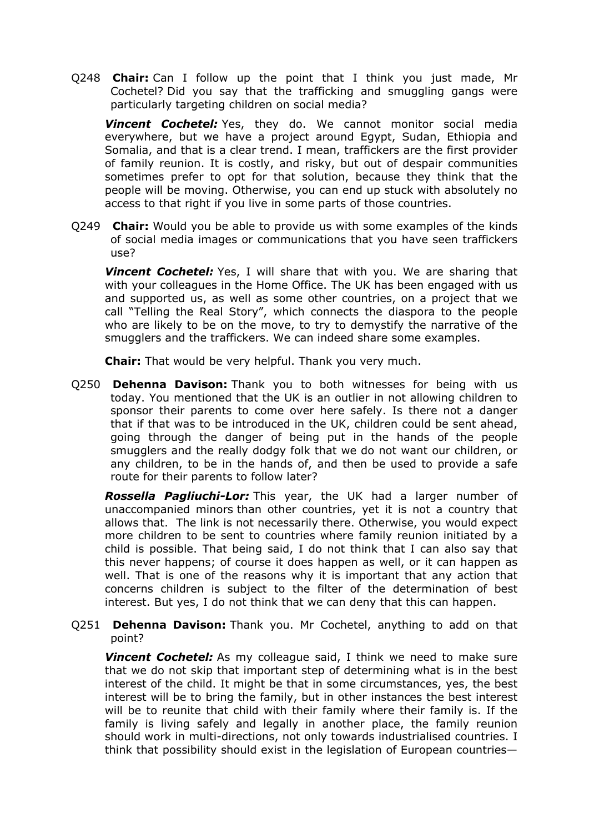Q248 **Chair:** Can I follow up the point that I think you just made, Mr Cochetel? Did you say that the trafficking and smuggling gangs were particularly targeting children on social media?

*Vincent Cochetel:* Yes, they do. We cannot monitor social media everywhere, but we have a project around Egypt, Sudan, Ethiopia and Somalia, and that is a clear trend. I mean, traffickers are the first provider of family reunion. It is costly, and risky, but out of despair communities sometimes prefer to opt for that solution, because they think that the people will be moving. Otherwise, you can end up stuck with absolutely no access to that right if you live in some parts of those countries.

Q249 **Chair:** Would you be able to provide us with some examples of the kinds of social media images or communications that you have seen traffickers use?

*Vincent Cochetel:* Yes, I will share that with you. We are sharing that with your colleagues in the Home Office. The UK has been engaged with us and supported us, as well as some other countries, on a project that we call "Telling the Real Story", which connects the diaspora to the people who are likely to be on the move, to try to demystify the narrative of the smugglers and the traffickers. We can indeed share some examples.

**Chair:** That would be very helpful. Thank you very much.

Q250 **Dehenna Davison:** Thank you to both witnesses for being with us today. You mentioned that the UK is an outlier in not allowing children to sponsor their parents to come over here safely. Is there not a danger that if that was to be introduced in the UK, children could be sent ahead, going through the danger of being put in the hands of the people smugglers and the really dodgy folk that we do not want our children, or any children, to be in the hands of, and then be used to provide a safe route for their parents to follow later?

*Rossella Pagliuchi-Lor:* This year, the UK had a larger number of unaccompanied minors than other countries, yet it is not a country that allows that. The link is not necessarily there. Otherwise, you would expect more children to be sent to countries where family reunion initiated by a child is possible. That being said, I do not think that I can also say that this never happens; of course it does happen as well, or it can happen as well. That is one of the reasons why it is important that any action that concerns children is subject to the filter of the determination of best interest. But yes, I do not think that we can deny that this can happen.

Q251 **Dehenna Davison:** Thank you. Mr Cochetel, anything to add on that point?

*Vincent Cochetel:* As my colleague said, I think we need to make sure that we do not skip that important step of determining what is in the best interest of the child. It might be that in some circumstances, yes, the best interest will be to bring the family, but in other instances the best interest will be to reunite that child with their family where their family is. If the family is living safely and legally in another place, the family reunion should work in multi-directions, not only towards industrialised countries. I think that possibility should exist in the legislation of European countries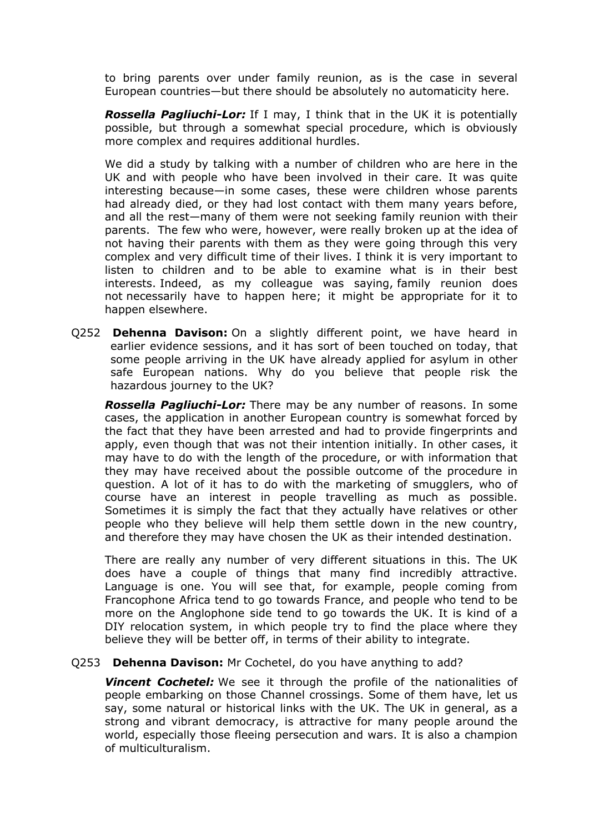to bring parents over under family reunion, as is the case in several European countries—but there should be absolutely no automaticity here.

*Rossella Pagliuchi-Lor:* If I may, I think that in the UK it is potentially possible, but through a somewhat special procedure, which is obviously more complex and requires additional hurdles.

We did a study by talking with a number of children who are here in the UK and with people who have been involved in their care. It was quite interesting because—in some cases, these were children whose parents had already died, or they had lost contact with them many years before, and all the rest—many of them were not seeking family reunion with their parents. The few who were, however, were really broken up at the idea of not having their parents with them as they were going through this very complex and very difficult time of their lives. I think it is very important to listen to children and to be able to examine what is in their best interests. Indeed, as my colleague was saying, family reunion does not necessarily have to happen here; it might be appropriate for it to happen elsewhere.

Q252 **Dehenna Davison:** On a slightly different point, we have heard in earlier evidence sessions, and it has sort of been touched on today, that some people arriving in the UK have already applied for asylum in other safe European nations. Why do you believe that people risk the hazardous journey to the UK?

*Rossella Pagliuchi-Lor:* There may be any number of reasons. In some cases, the application in another European country is somewhat forced by the fact that they have been arrested and had to provide fingerprints and apply, even though that was not their intention initially. In other cases, it may have to do with the length of the procedure, or with information that they may have received about the possible outcome of the procedure in question. A lot of it has to do with the marketing of smugglers, who of course have an interest in people travelling as much as possible. Sometimes it is simply the fact that they actually have relatives or other people who they believe will help them settle down in the new country, and therefore they may have chosen the UK as their intended destination.

There are really any number of very different situations in this. The UK does have a couple of things that many find incredibly attractive. Language is one. You will see that, for example, people coming from Francophone Africa tend to go towards France, and people who tend to be more on the Anglophone side tend to go towards the UK. It is kind of a DIY relocation system, in which people try to find the place where they believe they will be better off, in terms of their ability to integrate.

#### Q253 **Dehenna Davison:** Mr Cochetel, do you have anything to add?

*Vincent Cochetel:* We see it through the profile of the nationalities of people embarking on those Channel crossings. Some of them have, let us say, some natural or historical links with the UK. The UK in general, as a strong and vibrant democracy, is attractive for many people around the world, especially those fleeing persecution and wars. It is also a champion of multiculturalism.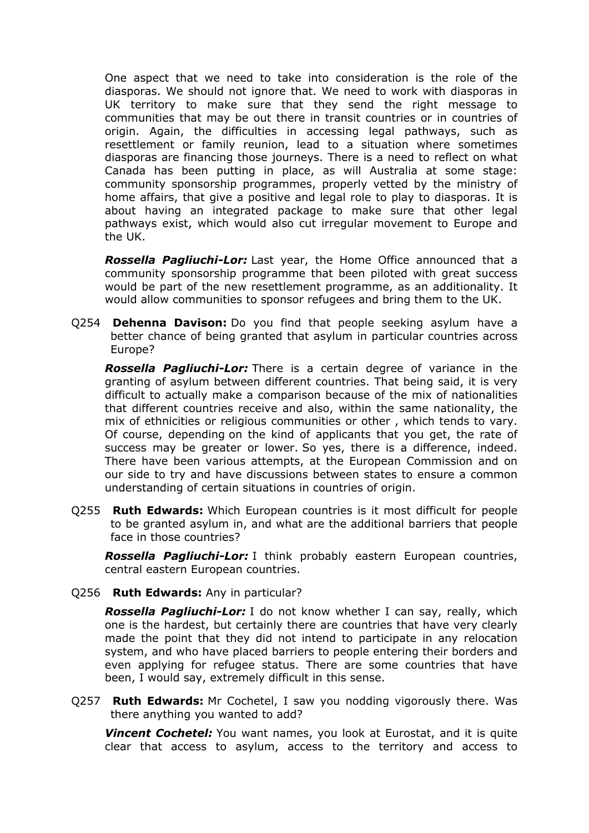One aspect that we need to take into consideration is the role of the diasporas. We should not ignore that. We need to work with diasporas in UK territory to make sure that they send the right message to communities that may be out there in transit countries or in countries of origin. Again, the difficulties in accessing legal pathways, such as resettlement or family reunion, lead to a situation where sometimes diasporas are financing those journeys. There is a need to reflect on what Canada has been putting in place, as will Australia at some stage: community sponsorship programmes, properly vetted by the ministry of home affairs, that give a positive and legal role to play to diasporas. It is about having an integrated package to make sure that other legal pathways exist, which would also cut irregular movement to Europe and the UK.

*Rossella Pagliuchi-Lor:* Last year, the Home Office announced that a community sponsorship programme that been piloted with great success would be part of the new resettlement programme, as an additionality. It would allow communities to sponsor refugees and bring them to the UK.

Q254 **Dehenna Davison:** Do you find that people seeking asylum have a better chance of being granted that asylum in particular countries across Europe?

*Rossella Pagliuchi-Lor:* There is a certain degree of variance in the granting of asylum between different countries. That being said, it is very difficult to actually make a comparison because of the mix of nationalities that different countries receive and also, within the same nationality, the mix of ethnicities or religious communities or other , which tends to vary. Of course, depending on the kind of applicants that you get, the rate of success may be greater or lower. So yes, there is a difference, indeed. There have been various attempts, at the European Commission and on our side to try and have discussions between states to ensure a common understanding of certain situations in countries of origin.

Q255 **Ruth Edwards:** Which European countries is it most difficult for people to be granted asylum in, and what are the additional barriers that people face in those countries?

*Rossella Pagliuchi-Lor:* I think probably eastern European countries, central eastern European countries.

Q256 **Ruth Edwards:** Any in particular?

*Rossella Pagliuchi-Lor:* I do not know whether I can say, really, which one is the hardest, but certainly there are countries that have very clearly made the point that they did not intend to participate in any relocation system, and who have placed barriers to people entering their borders and even applying for refugee status. There are some countries that have been, I would say, extremely difficult in this sense.

Q257 **Ruth Edwards:** Mr Cochetel, I saw you nodding vigorously there. Was there anything you wanted to add?

*Vincent Cochetel:* You want names, you look at Eurostat, and it is quite clear that access to asylum, access to the territory and access to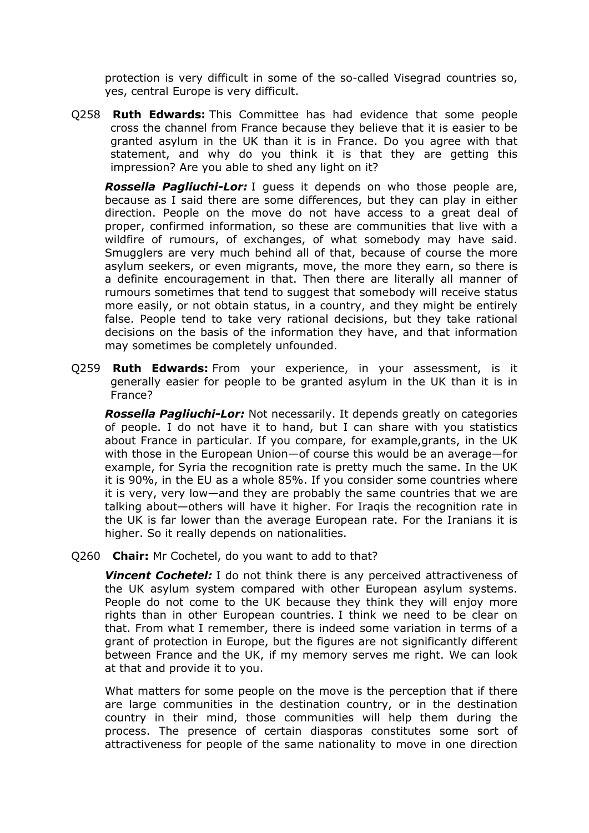protection is very difficult in some of the so-called Visegrad countries so, yes, central Europe is very difficult.

Q258 **Ruth Edwards:** This Committee has had evidence that some people cross the channel from France because they believe that it is easier to be granted asylum in the UK than it is in France. Do you agree with that statement, and why do you think it is that they are getting this impression? Are you able to shed any light on it?

*Rossella Pagliuchi-Lor:* I guess it depends on who those people are, because as I said there are some differences, but they can play in either direction. People on the move do not have access to a great deal of proper, confirmed information, so these are communities that live with a wildfire of rumours, of exchanges, of what somebody may have said. Smugglers are very much behind all of that, because of course the more asylum seekers, or even migrants, move, the more they earn, so there is a definite encouragement in that. Then there are literally all manner of rumours sometimes that tend to suggest that somebody will receive status more easily, or not obtain status, in a country, and they might be entirely false. People tend to take very rational decisions, but they take rational decisions on the basis of the information they have, and that information may sometimes be completely unfounded.

Q259 **Ruth Edwards:** From your experience, in your assessment, is it generally easier for people to be granted asylum in the UK than it is in France?

*Rossella Pagliuchi-Lor:* Not necessarily. It depends greatly on categories of people. I do not have it to hand, but I can share with you statistics about France in particular. If you compare, for example,grants, in the UK with those in the European Union—of course this would be an average—for example, for Syria the recognition rate is pretty much the same. In the UK it is 90%, in the EU as a whole 85%. If you consider some countries where it is very, very low—and they are probably the same countries that we are talking about—others will have it higher. For Iraqis the recognition rate in the UK is far lower than the average European rate. For the Iranians it is higher. So it really depends on nationalities.

Q260 **Chair:** Mr Cochetel, do you want to add to that?

**Vincent Cochetel:** I do not think there is any perceived attractiveness of the UK asylum system compared with other European asylum systems. People do not come to the UK because they think they will enjoy more rights than in other European countries. I think we need to be clear on that. From what I remember, there is indeed some variation in terms of a grant of protection in Europe, but the figures are not significantly different between France and the UK, if my memory serves me right. We can look at that and provide it to you.

What matters for some people on the move is the perception that if there are large communities in the destination country, or in the destination country in their mind, those communities will help them during the process. The presence of certain diasporas constitutes some sort of attractiveness for people of the same nationality to move in one direction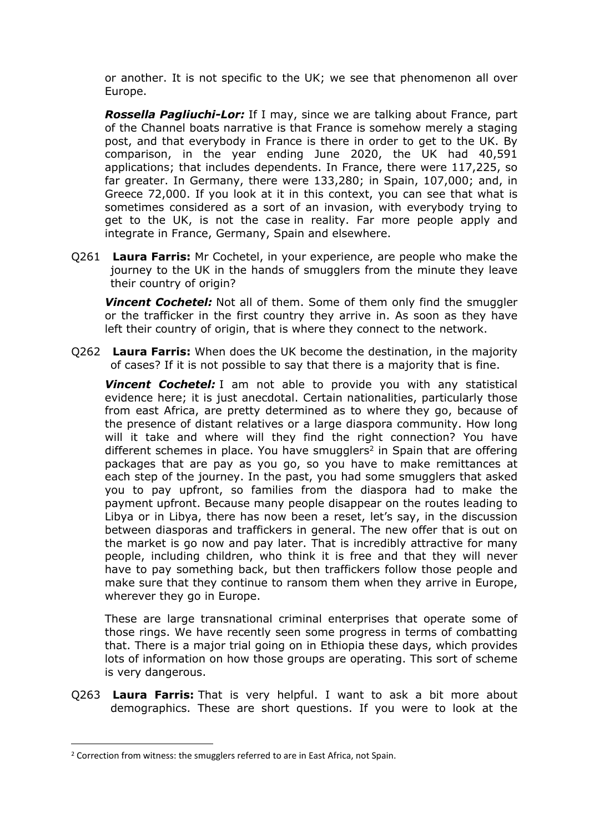or another. It is not specific to the UK; we see that phenomenon all over Europe.

*Rossella Pagliuchi-Lor:* If I may, since we are talking about France, part of the Channel boats narrative is that France is somehow merely a staging post, and that everybody in France is there in order to get to the UK. By comparison, in the year ending June 2020, the UK had 40,591 applications; that includes dependents. In France, there were 117,225, so far greater. In Germany, there were 133,280; in Spain, 107,000; and, in Greece 72,000. If you look at it in this context, you can see that what is sometimes considered as a sort of an invasion, with everybody trying to get to the UK, is not the case in reality. Far more people apply and integrate in France, Germany, Spain and elsewhere.

Q261 **Laura Farris:** Mr Cochetel, in your experience, are people who make the journey to the UK in the hands of smugglers from the minute they leave their country of origin?

*Vincent Cochetel:* Not all of them. Some of them only find the smuggler or the trafficker in the first country they arrive in. As soon as they have left their country of origin, that is where they connect to the network.

Q262 **Laura Farris:** When does the UK become the destination, in the majority of cases? If it is not possible to say that there is a majority that is fine.

*Vincent Cochetel:* I am not able to provide you with any statistical evidence here; it is just anecdotal. Certain nationalities, particularly those from east Africa, are pretty determined as to where they go, because of the presence of distant relatives or a large diaspora community. How long will it take and where will they find the right connection? You have different schemes in place. You have smugglers<sup>2</sup> in Spain that are offering packages that are pay as you go, so you have to make remittances at each step of the journey. In the past, you had some smugglers that asked you to pay upfront, so families from the diaspora had to make the payment upfront. Because many people disappear on the routes leading to Libya or in Libya, there has now been a reset, let's say, in the discussion between diasporas and traffickers in general. The new offer that is out on the market is go now and pay later. That is incredibly attractive for many people, including children, who think it is free and that they will never have to pay something back, but then traffickers follow those people and make sure that they continue to ransom them when they arrive in Europe, wherever they go in Europe.

These are large transnational criminal enterprises that operate some of those rings. We have recently seen some progress in terms of combatting that. There is a major trial going on in Ethiopia these days, which provides lots of information on how those groups are operating. This sort of scheme is very dangerous.

Q263 **Laura Farris:** That is very helpful. I want to ask a bit more about demographics. These are short questions. If you were to look at the

<sup>&</sup>lt;sup>2</sup> Correction from witness: the smugglers referred to are in East Africa, not Spain.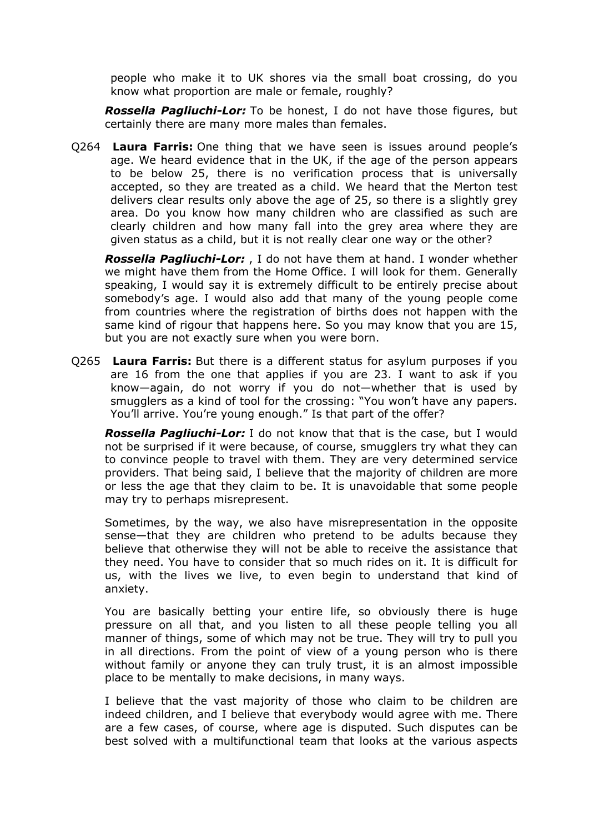people who make it to UK shores via the small boat crossing, do you know what proportion are male or female, roughly?

*Rossella Pagliuchi-Lor:* To be honest, I do not have those figures, but certainly there are many more males than females.

Q264 **Laura Farris:** One thing that we have seen is issues around people's age. We heard evidence that in the UK, if the age of the person appears to be below 25, there is no verification process that is universally accepted, so they are treated as a child. We heard that the Merton test delivers clear results only above the age of 25, so there is a slightly grey area. Do you know how many children who are classified as such are clearly children and how many fall into the grey area where they are given status as a child, but it is not really clear one way or the other?

*Rossella Pagliuchi-Lor:* , I do not have them at hand. I wonder whether we might have them from the Home Office. I will look for them. Generally speaking, I would say it is extremely difficult to be entirely precise about somebody's age. I would also add that many of the young people come from countries where the registration of births does not happen with the same kind of rigour that happens here. So you may know that you are 15, but you are not exactly sure when you were born.

Q265 **Laura Farris:** But there is a different status for asylum purposes if you are 16 from the one that applies if you are 23. I want to ask if you know—again, do not worry if you do not—whether that is used by smugglers as a kind of tool for the crossing: "You won't have any papers. You'll arrive. You're young enough." Is that part of the offer?

*Rossella Pagliuchi-Lor:* I do not know that that is the case, but I would not be surprised if it were because, of course, smugglers try what they can to convince people to travel with them. They are very determined service providers. That being said, I believe that the majority of children are more or less the age that they claim to be. It is unavoidable that some people may try to perhaps misrepresent.

Sometimes, by the way, we also have misrepresentation in the opposite sense—that they are children who pretend to be adults because they believe that otherwise they will not be able to receive the assistance that they need. You have to consider that so much rides on it. It is difficult for us, with the lives we live, to even begin to understand that kind of anxiety.

You are basically betting your entire life, so obviously there is huge pressure on all that, and you listen to all these people telling you all manner of things, some of which may not be true. They will try to pull you in all directions. From the point of view of a young person who is there without family or anyone they can truly trust, it is an almost impossible place to be mentally to make decisions, in many ways.

I believe that the vast majority of those who claim to be children are indeed children, and I believe that everybody would agree with me. There are a few cases, of course, where age is disputed. Such disputes can be best solved with a multifunctional team that looks at the various aspects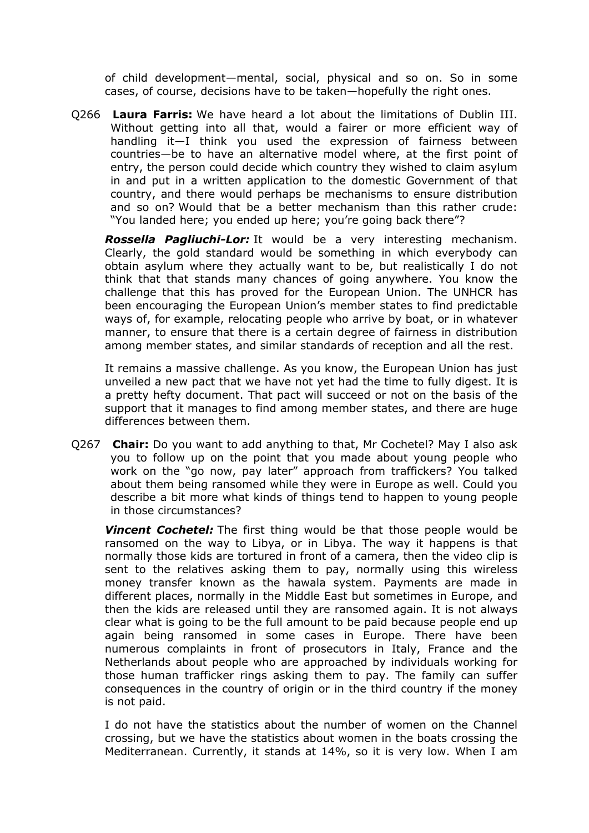of child development—mental, social, physical and so on. So in some cases, of course, decisions have to be taken—hopefully the right ones.

Q266 **Laura Farris:** We have heard a lot about the limitations of Dublin III. Without getting into all that, would a fairer or more efficient way of handling it—I think you used the expression of fairness between countries—be to have an alternative model where, at the first point of entry, the person could decide which country they wished to claim asylum in and put in a written application to the domestic Government of that country, and there would perhaps be mechanisms to ensure distribution and so on? Would that be a better mechanism than this rather crude: "You landed here; you ended up here; you're going back there"?

*Rossella Pagliuchi-Lor:* It would be a very interesting mechanism. Clearly, the gold standard would be something in which everybody can obtain asylum where they actually want to be, but realistically I do not think that that stands many chances of going anywhere. You know the challenge that this has proved for the European Union. The UNHCR has been encouraging the European Union's member states to find predictable ways of, for example, relocating people who arrive by boat, or in whatever manner, to ensure that there is a certain degree of fairness in distribution among member states, and similar standards of reception and all the rest.

It remains a massive challenge. As you know, the European Union has just unveiled a new pact that we have not yet had the time to fully digest. It is a pretty hefty document. That pact will succeed or not on the basis of the support that it manages to find among member states, and there are huge differences between them.

Q267 **Chair:** Do you want to add anything to that, Mr Cochetel? May I also ask you to follow up on the point that you made about young people who work on the "go now, pay later" approach from traffickers? You talked about them being ransomed while they were in Europe as well. Could you describe a bit more what kinds of things tend to happen to young people in those circumstances?

*Vincent Cochetel:* The first thing would be that those people would be ransomed on the way to Libya, or in Libya. The way it happens is that normally those kids are tortured in front of a camera, then the video clip is sent to the relatives asking them to pay, normally using this wireless money transfer known as the hawala system. Payments are made in different places, normally in the Middle East but sometimes in Europe, and then the kids are released until they are ransomed again. It is not always clear what is going to be the full amount to be paid because people end up again being ransomed in some cases in Europe. There have been numerous complaints in front of prosecutors in Italy, France and the Netherlands about people who are approached by individuals working for those human trafficker rings asking them to pay. The family can suffer consequences in the country of origin or in the third country if the money is not paid.

I do not have the statistics about the number of women on the Channel crossing, but we have the statistics about women in the boats crossing the Mediterranean. Currently, it stands at 14%, so it is very low. When I am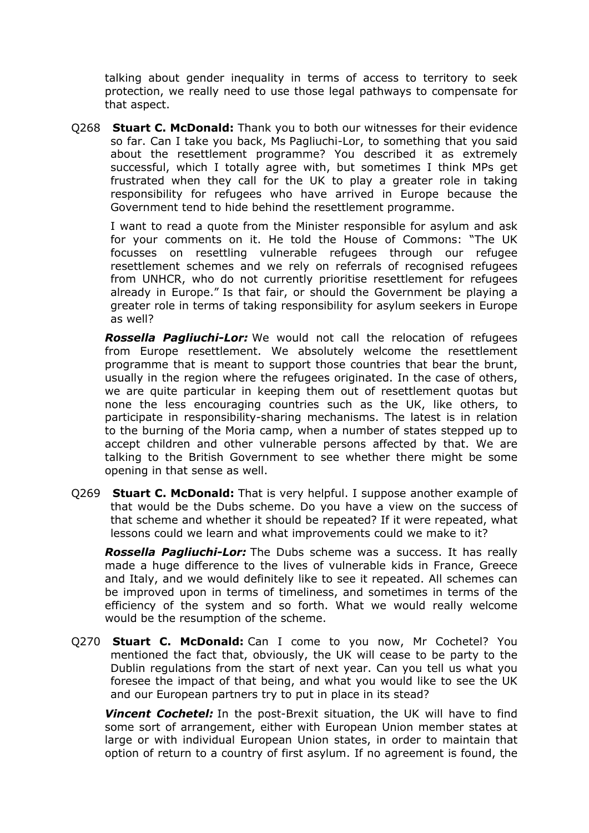talking about gender inequality in terms of access to territory to seek protection, we really need to use those legal pathways to compensate for that aspect.

Q268 **Stuart C. McDonald:** Thank you to both our witnesses for their evidence so far. Can I take you back, Ms Pagliuchi-Lor, to something that you said about the resettlement programme? You described it as extremely successful, which I totally agree with, but sometimes I think MPs get frustrated when they call for the UK to play a greater role in taking responsibility for refugees who have arrived in Europe because the Government tend to hide behind the resettlement programme.

I want to read a quote from the Minister responsible for asylum and ask for your comments on it. He told the House of Commons: "The UK focusses on resettling vulnerable refugees through our refugee resettlement schemes and we rely on referrals of recognised refugees from UNHCR, who do not currently prioritise resettlement for refugees already in Europe." Is that fair, or should the Government be playing a greater role in terms of taking responsibility for asylum seekers in Europe as well?

*Rossella Pagliuchi-Lor:* We would not call the relocation of refugees from Europe resettlement. We absolutely welcome the resettlement programme that is meant to support those countries that bear the brunt, usually in the region where the refugees originated. In the case of others, we are quite particular in keeping them out of resettlement quotas but none the less encouraging countries such as the UK, like others, to participate in responsibility-sharing mechanisms. The latest is in relation to the burning of the Moria camp, when a number of states stepped up to accept children and other vulnerable persons affected by that. We are talking to the British Government to see whether there might be some opening in that sense as well.

Q269 **Stuart C. McDonald:** That is very helpful. I suppose another example of that would be the Dubs scheme. Do you have a view on the success of that scheme and whether it should be repeated? If it were repeated, what lessons could we learn and what improvements could we make to it?

*Rossella Pagliuchi-Lor:* The Dubs scheme was a success. It has really made a huge difference to the lives of vulnerable kids in France, Greece and Italy, and we would definitely like to see it repeated. All schemes can be improved upon in terms of timeliness, and sometimes in terms of the efficiency of the system and so forth. What we would really welcome would be the resumption of the scheme.

Q270 **Stuart C. McDonald:** Can I come to you now, Mr Cochetel? You mentioned the fact that, obviously, the UK will cease to be party to the Dublin regulations from the start of next year. Can you tell us what you foresee the impact of that being, and what you would like to see the UK and our European partners try to put in place in its stead?

*Vincent Cochetel:* In the post-Brexit situation, the UK will have to find some sort of arrangement, either with European Union member states at large or with individual European Union states, in order to maintain that option of return to a country of first asylum. If no agreement is found, the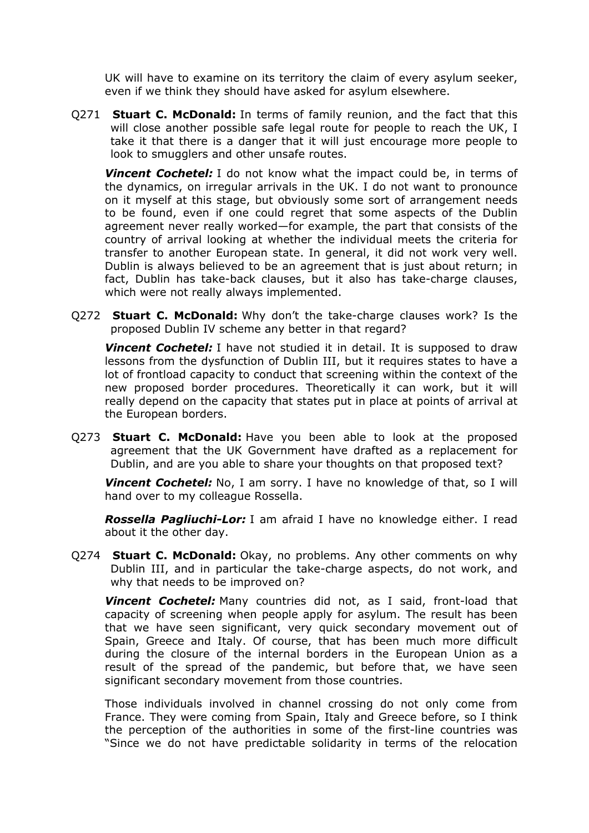UK will have to examine on its territory the claim of every asylum seeker, even if we think they should have asked for asylum elsewhere.

Q271 **Stuart C. McDonald:** In terms of family reunion, and the fact that this will close another possible safe legal route for people to reach the UK, I take it that there is a danger that it will just encourage more people to look to smugglers and other unsafe routes.

*Vincent Cochetel:* I do not know what the impact could be, in terms of the dynamics, on irregular arrivals in the UK. I do not want to pronounce on it myself at this stage, but obviously some sort of arrangement needs to be found, even if one could regret that some aspects of the Dublin agreement never really worked—for example, the part that consists of the country of arrival looking at whether the individual meets the criteria for transfer to another European state. In general, it did not work very well. Dublin is always believed to be an agreement that is just about return; in fact, Dublin has take-back clauses, but it also has take-charge clauses, which were not really always implemented.

Q272 **Stuart C. McDonald:** Why don't the take-charge clauses work? Is the proposed Dublin IV scheme any better in that regard?

*Vincent Cochetel:* I have not studied it in detail. It is supposed to draw lessons from the dysfunction of Dublin III, but it requires states to have a lot of frontload capacity to conduct that screening within the context of the new proposed border procedures. Theoretically it can work, but it will really depend on the capacity that states put in place at points of arrival at the European borders.

Q273 **Stuart C. McDonald:** Have you been able to look at the proposed agreement that the UK Government have drafted as a replacement for Dublin, and are you able to share your thoughts on that proposed text?

*Vincent Cochetel:* No, I am sorry. I have no knowledge of that, so I will hand over to my colleague Rossella.

*Rossella Pagliuchi-Lor:* I am afraid I have no knowledge either. I read about it the other day.

Q274 **Stuart C. McDonald:** Okay, no problems. Any other comments on why Dublin III, and in particular the take-charge aspects, do not work, and why that needs to be improved on?

*Vincent Cochetel:* Many countries did not, as I said, front-load that capacity of screening when people apply for asylum. The result has been that we have seen significant, very quick secondary movement out of Spain, Greece and Italy. Of course, that has been much more difficult during the closure of the internal borders in the European Union as a result of the spread of the pandemic, but before that, we have seen significant secondary movement from those countries.

Those individuals involved in channel crossing do not only come from France. They were coming from Spain, Italy and Greece before, so I think the perception of the authorities in some of the first-line countries was "Since we do not have predictable solidarity in terms of the relocation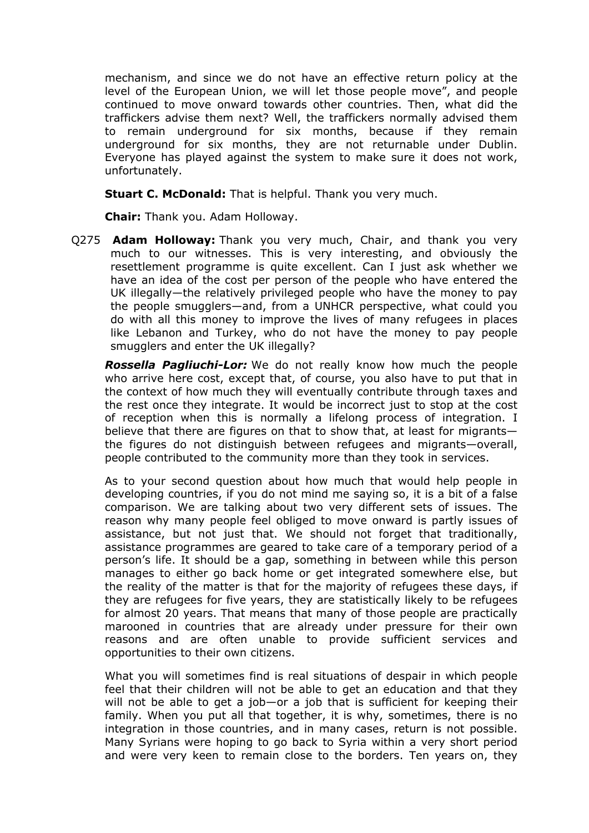mechanism, and since we do not have an effective return policy at the level of the European Union, we will let those people move", and people continued to move onward towards other countries. Then, what did the traffickers advise them next? Well, the traffickers normally advised them to remain underground for six months, because if they remain underground for six months, they are not returnable under Dublin. Everyone has played against the system to make sure it does not work, unfortunately.

**Stuart C. McDonald:** That is helpful. Thank you very much.

**Chair:** Thank you. Adam Holloway.

Q275 **Adam Holloway:** Thank you very much, Chair, and thank you very much to our witnesses. This is very interesting, and obviously the resettlement programme is quite excellent. Can I just ask whether we have an idea of the cost per person of the people who have entered the UK illegally—the relatively privileged people who have the money to pay the people smugglers—and, from a UNHCR perspective, what could you do with all this money to improve the lives of many refugees in places like Lebanon and Turkey, who do not have the money to pay people smugglers and enter the UK illegally?

*Rossella Pagliuchi-Lor:* We do not really know how much the people who arrive here cost, except that, of course, you also have to put that in the context of how much they will eventually contribute through taxes and the rest once they integrate. It would be incorrect just to stop at the cost of reception when this is normally a lifelong process of integration. I believe that there are figures on that to show that, at least for migrants the figures do not distinguish between refugees and migrants—overall, people contributed to the community more than they took in services.

As to your second question about how much that would help people in developing countries, if you do not mind me saying so, it is a bit of a false comparison. We are talking about two very different sets of issues. The reason why many people feel obliged to move onward is partly issues of assistance, but not just that. We should not forget that traditionally, assistance programmes are geared to take care of a temporary period of a person's life. It should be a gap, something in between while this person manages to either go back home or get integrated somewhere else, but the reality of the matter is that for the majority of refugees these days, if they are refugees for five years, they are statistically likely to be refugees for almost 20 years. That means that many of those people are practically marooned in countries that are already under pressure for their own reasons and are often unable to provide sufficient services and opportunities to their own citizens.

What you will sometimes find is real situations of despair in which people feel that their children will not be able to get an education and that they will not be able to get a job—or a job that is sufficient for keeping their family. When you put all that together, it is why, sometimes, there is no integration in those countries, and in many cases, return is not possible. Many Syrians were hoping to go back to Syria within a very short period and were very keen to remain close to the borders. Ten years on, they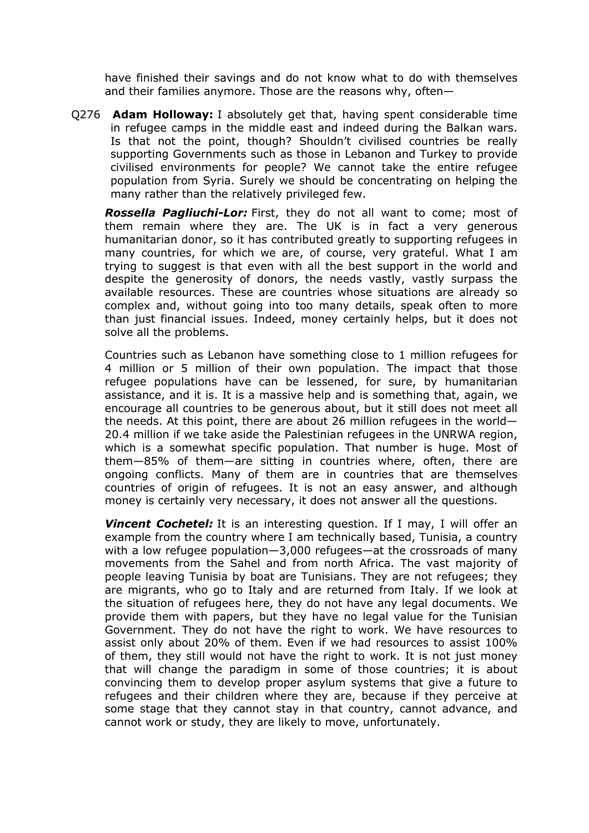have finished their savings and do not know what to do with themselves and their families anymore. Those are the reasons why, often—

Q276 **Adam Holloway:** I absolutely get that, having spent considerable time in refugee camps in the middle east and indeed during the Balkan wars. Is that not the point, though? Shouldn't civilised countries be really supporting Governments such as those in Lebanon and Turkey to provide civilised environments for people? We cannot take the entire refugee population from Syria. Surely we should be concentrating on helping the many rather than the relatively privileged few.

*Rossella Pagliuchi-Lor:* First, they do not all want to come; most of them remain where they are. The UK is in fact a very generous humanitarian donor, so it has contributed greatly to supporting refugees in many countries, for which we are, of course, very grateful. What I am trying to suggest is that even with all the best support in the world and despite the generosity of donors, the needs vastly, vastly surpass the available resources. These are countries whose situations are already so complex and, without going into too many details, speak often to more than just financial issues. Indeed, money certainly helps, but it does not solve all the problems.

Countries such as Lebanon have something close to 1 million refugees for 4 million or 5 million of their own population. The impact that those refugee populations have can be lessened, for sure, by humanitarian assistance, and it is. It is a massive help and is something that, again, we encourage all countries to be generous about, but it still does not meet all the needs. At this point, there are about 26 million refugees in the world— 20.4 million if we take aside the Palestinian refugees in the UNRWA region, which is a somewhat specific population. That number is huge. Most of them—85% of them—are sitting in countries where, often, there are ongoing conflicts. Many of them are in countries that are themselves countries of origin of refugees. It is not an easy answer, and although money is certainly very necessary, it does not answer all the questions.

**Vincent Cochetel:** It is an interesting question. If I may, I will offer an example from the country where I am technically based, Tunisia, a country with a low refugee population—3,000 refugees—at the crossroads of many movements from the Sahel and from north Africa. The vast majority of people leaving Tunisia by boat are Tunisians. They are not refugees; they are migrants, who go to Italy and are returned from Italy. If we look at the situation of refugees here, they do not have any legal documents. We provide them with papers, but they have no legal value for the Tunisian Government. They do not have the right to work. We have resources to assist only about 20% of them. Even if we had resources to assist 100% of them, they still would not have the right to work. It is not just money that will change the paradigm in some of those countries; it is about convincing them to develop proper asylum systems that give a future to refugees and their children where they are, because if they perceive at some stage that they cannot stay in that country, cannot advance, and cannot work or study, they are likely to move, unfortunately.